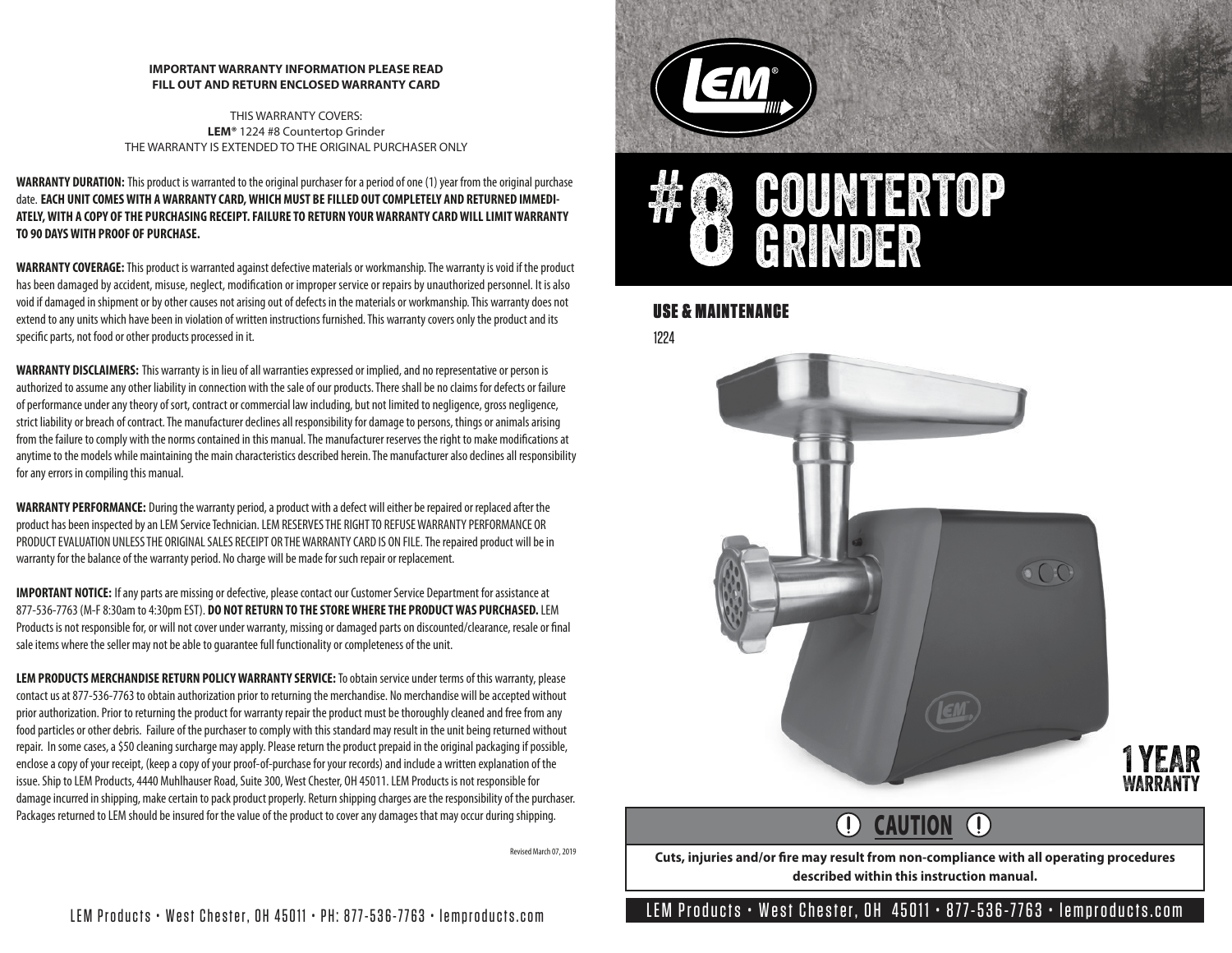#### **IMPORTANT WARRANTY INFORMATION PLEASE READ FILL OUT AND RETURN ENCLOSED WARRANTY CARD**

THIS WARRANTY COVERS: **LEM®** 1224 #8 Countertop Grinder THE WARRANTY IS EXTENDED TO THE ORIGINAL PURCHASER ONLY

**WARRANTY DURATION:** This product is warranted to the original purchaser for a period of one (1) year from the original purchase date. **EACH UNIT COMES WITH A WARRANTY CARD, WHICH MUST BE FILLED OUT COMPLETELY AND RETURNED IMMEDI-ATELY, WITH A COPY OF THE PURCHASING RECEIPT. FAILURE TO RETURN YOUR WARRANTY CARD WILL LIMIT WARRANTY TO 90 DAYS WITH PROOF OF PURCHASE.**

**WARRANTY COVERAGE:**This product is warranted against defective materials or workmanship. The warranty is void if the product has been damaged by accident, misuse, neglect, modification or improper service or repairs by unauthorized personnel. It is also void if damaged in shipment or by other causes not arising out of defects in the materials or workmanship. This warranty does not extend to any units which have been in violation of written instructions furnished. This warranty covers only the product and its specific parts, not food or other products processed in it.

**WARRANTY DISCLAIMERS:** This warranty is in lieu of all warranties expressed or implied, and no representative or person is authorized to assume any other liability in connection with the sale of our products. There shall be no claims for defects or failure of performance under any theory of sort, contract or commercial law including, but not limited to negligence, gross negligence, strict liability or breach of contract. The manufacturer declines all responsibility for damage to persons, things or animals arising from the failure to comply with the norms contained in this manual. The manufacturer reserves the right to make modifications at anytime to the models while maintaining the main characteristics described herein. The manufacturer also declines all responsibility for any errors in compiling this manual.

**WARRANTY PERFORMANCE:** During the warranty period, a product with a defect will either be repaired or replaced after the product has been inspected by an LEM Service Technician. LEM RESERVES THE RIGHT TO REFUSE WARRANTY PERFORMANCE OR PRODUCT EVALUATION UNLESS THE ORIGINAL SALES RECEIPT OR THE WARRANTY CARD IS ON FILE.The repaired product will be in warranty for the balance of the warranty period. No charge will be made for such repair or replacement.

**IMPORTANT NOTICE:** If any parts are missing or defective, please contact our Customer Service Department for assistance at 877-536-7763 (M-F 8:30am to 4:30pm EST). **DO NOT RETURN TO THE STORE WHERE THE PRODUCT WAS PURCHASED.** LEM Products is not responsible for, or will not cover under warranty, missing or damaged parts on discounted/clearance, resale or final sale items where the seller may not be able to guarantee full functionality or completeness of the unit.

**LEM PRODUCTS MERCHANDISE RETURN POLICY WARRANTY SERVICE:** To obtain service under terms of this warranty, please contact us at 877-536-7763 to obtain authorization prior to returning the merchandise. No merchandise will be accepted without prior authorization. Prior to returning the product for warranty repair the product must be thoroughly cleaned and free from any food particles or other debris. Failure of the purchaser to comply with this standard may result in the unit being returned without repair. In some cases, a \$50 cleaning surcharge may apply. Please return the product prepaid in the original packaging if possible, enclose a copy of your receipt, (keep a copy of your proof-of-purchase for your records) and include a written explanation of the issue. Ship to LEM Products, 4440 Muhlhauser Road, Suite 300, West Chester, OH 45011. LEM Products is not responsible for damage incurred in shipping, make certain to pack product properly. Return shipping charges are the responsibility of the purchaser. Packages returned to LEM should be insured for the value of the product to cover any damages that may occur during shipping.

Revised March 07, 2019





## USE & MAINTENANCE

1224



#### $\bigcap$ CAUTION  $\bigcirc$

Cuts, injuries and/or fire may result from non-compliance with all operating procedures **described within this instruction manual.**

LEM Products • West Chester, OH 45011 • PH: 877-536-7763 • lemproducts.com LEM Products • West Chester, OH 45011 • 877-536-7763 • lemproducts.com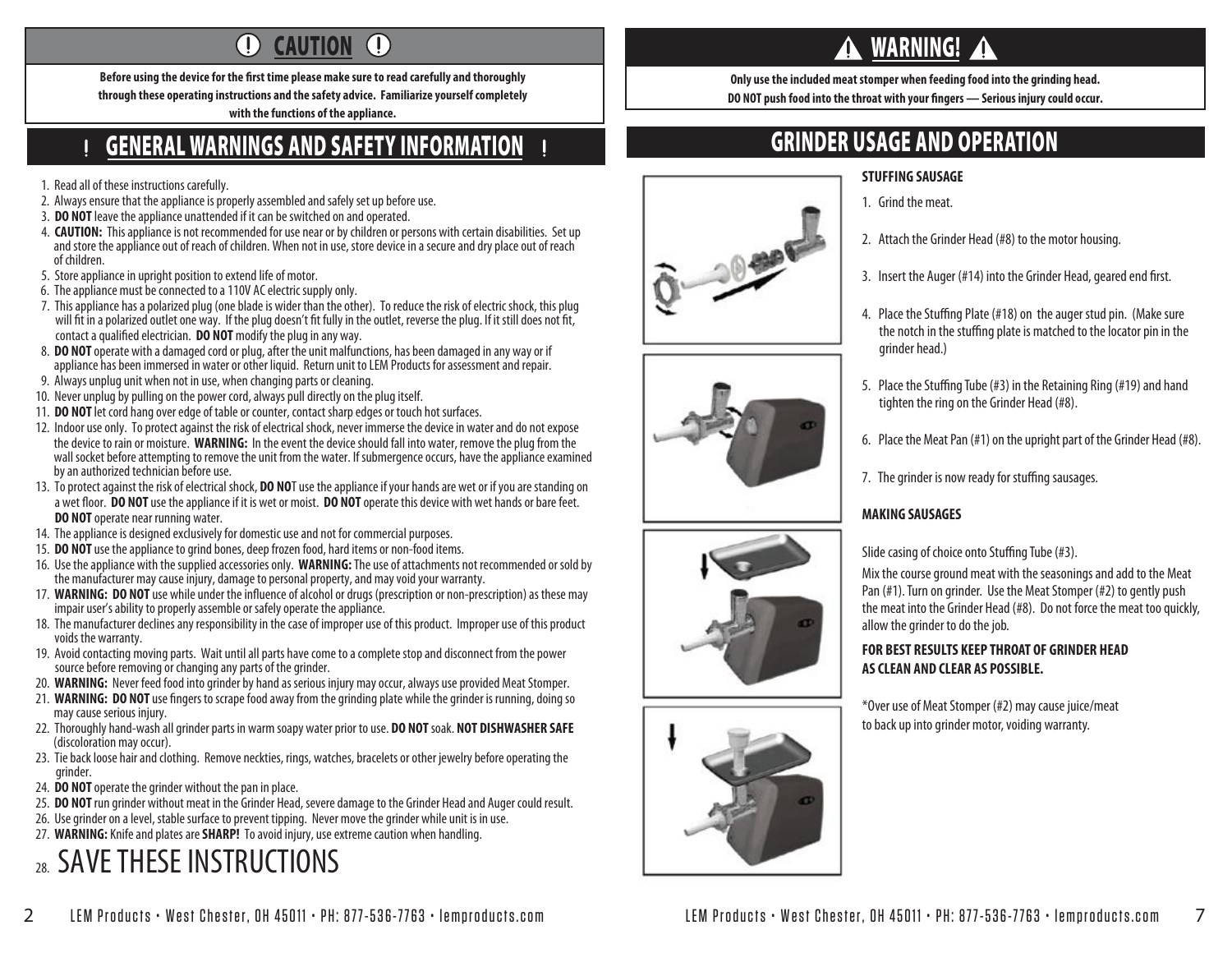#### $\bigcirc$ **CAUTION**  $\left( \Gamma \right)$

Before using the device for the first time please make sure to read carefully and thoroughly **through these operating instructions and the safety advice. Familiarize yourself completely with the functions of the appliance.**

## GENERAL WARNINGS AND SAFETY INFORMATION

1. Read all of these instructions carefully.

- 2. Always ensure that the appliance is properly assembled and safely set up before use.
- 3. **DO NOT** leave the appliance unattended if it can be switched on and operated.
- 4. **CAUTION:** This appliance is not recommended for use near or by children or persons with certain disabilities. Set up and store the appliance out of reach of children. When not in use, store device in a secure and dry place out of reach of children.
- 5. Store appliance in upright position to extend life of motor.
- 6. The appliance must be connected to a 110V AC electric supply only.
- 7. This appliance has a polarized plug (one blade is wider than the other). To reduce the risk of electric shock, this plug will fit in a polarized outlet one way. If the plug doesn't fit fully in the outlet, reverse the plug. If it still does not fit, contact a qualified electrician. **DO NOT** modify the plug in any way.
- 8. **DO NOT** operate with a damaged cord or plug, after the unit malfunctions, has been damaged in any way or if appliance has been immersed in water or other liquid. Return unit to LEM Products for assessment and repair.
- 9. Always unplug unit when not in use, when changing parts or cleaning.
- 10. Never unplug by pulling on the power cord, always pull directly on the plug itself.
- 11. **DO NOT** let cord hang over edge of table or counter, contact sharp edges or touch hot surfaces.
- 12. Indoor use only. To protect against the risk of electrical shock, never immerse the device in water and do not expose the device to rain or moisture. **WARNING:** In the event the device should fall into water, remove the plug from the wall socket before attempting to remove the unit from the water. If submergence occurs, have the appliance examined by an authorized technician before use.
- 13. To protect against the risk of electrical shock, **DO NO**T use the appliance if your hands are wet or if you are standing on a wet floor. **DO NOT** use the appliance if it is wet or moist. **DO NOT** operate this device with wet hands or bare feet. **DO NOT** operate near running water.
- 14. The appliance is designed exclusively for domestic use and not for commercial purposes.
- 15. **DO NOT** use the appliance to grind bones, deep frozen food, hard items or non-food items.
- 16. Use the appliance with the supplied accessories only. **WARNING:** The use of attachments not recommended or sold by the manufacturer may cause injury, damage to personal property, and may void your warranty.
- 17. **WARNING: DO NOT** use while under the influence of alcohol or drugs (prescription or non-prescription) as these may impair user's ability to properly assemble or safely operate the appliance.
- 18. The manufacturer declines any responsibility in the case of improper use of this product. Improper use of this product voids the warranty.
- 19. Avoid contacting moving parts. Wait until all parts have come to a complete stop and disconnect from the power source before removing or changing any parts of the grinder.
- 20. **WARNING:** Never feed food into grinder by hand as serious injury may occur, always use provided Meat Stomper.
- 21. **WARNING: DO NOT** use fingers to scrape food away from the grinding plate while the grinder is running, doing so may cause serious injury.
- 22. Thoroughly hand-wash all grinder parts in warm soapy water prior to use. **DO NOT** soak. **NOT DISHWASHER SAFE** (discoloration may occur).
- 23. Tie back loose hair and clothing. Remove neckties, rings, watches, bracelets or other jewelry before operating the grinder.
- 24. **DO NOT** operate the grinder without the pan in place.
- 25. **DO NOT** run grinder without meat in the Grinder Head, severe damage to the Grinder Head and Auger could result.
- 26. Use grinder on a level, stable surface to prevent tipping. Never move the grinder while unit is in use.
- 27. **WARNING:** Knife and plates are **SHARP!** To avoid injury, use extreme caution when handling.

# 28. SAVE THESE INSTRUCTIONS

# WARNING!

**Only use the included meat stomper when feeding food into the grinding head. DO NOT push food into the throat with your fingers — Serious injury could occur.** 

# GRINDER USAGE AND OPERATION

#### **STUFFING SAUSAGE**

- 1. Grind the meat.
- 2. Attach the Grinder Head (#8) to the motor housing.
- 3. Insert the Auger (#14) into the Grinder Head, geared end first.
- 4. Place the Stuffing Plate (#18) on the auger stud pin. (Make sure the notch in the stuffing plate is matched to the locator pin in the grinder head.)
- 5. Place the Stuffing Tube (#3) in the Retaining Ring (#19) and hand tighten the ring on the Grinder Head (#8).
- 6. Place the Meat Pan (#1) on the upright part of the Grinder Head (#8).
- 7. The grinder is now ready for stuffing sausages.

### **MAKING SAUSAGES**

Slide casing of choice onto Stuffing Tube (#3).

Mix the course ground meat with the seasonings and add to the Meat Pan (#1). Turn on grinder. Use the Meat Stomper (#2) to gently push the meat into the Grinder Head (#8). Do not force the meat too quickly, allow the grinder to do the job.

#### **FOR BEST RESULTS KEEP THROAT OF GRINDER HEAD AS CLEAN AND CLEAR AS POSSIBLE.**

\*Over use of Meat Stomper (#2) may cause juice/meat to back up into grinder motor, voiding warranty.





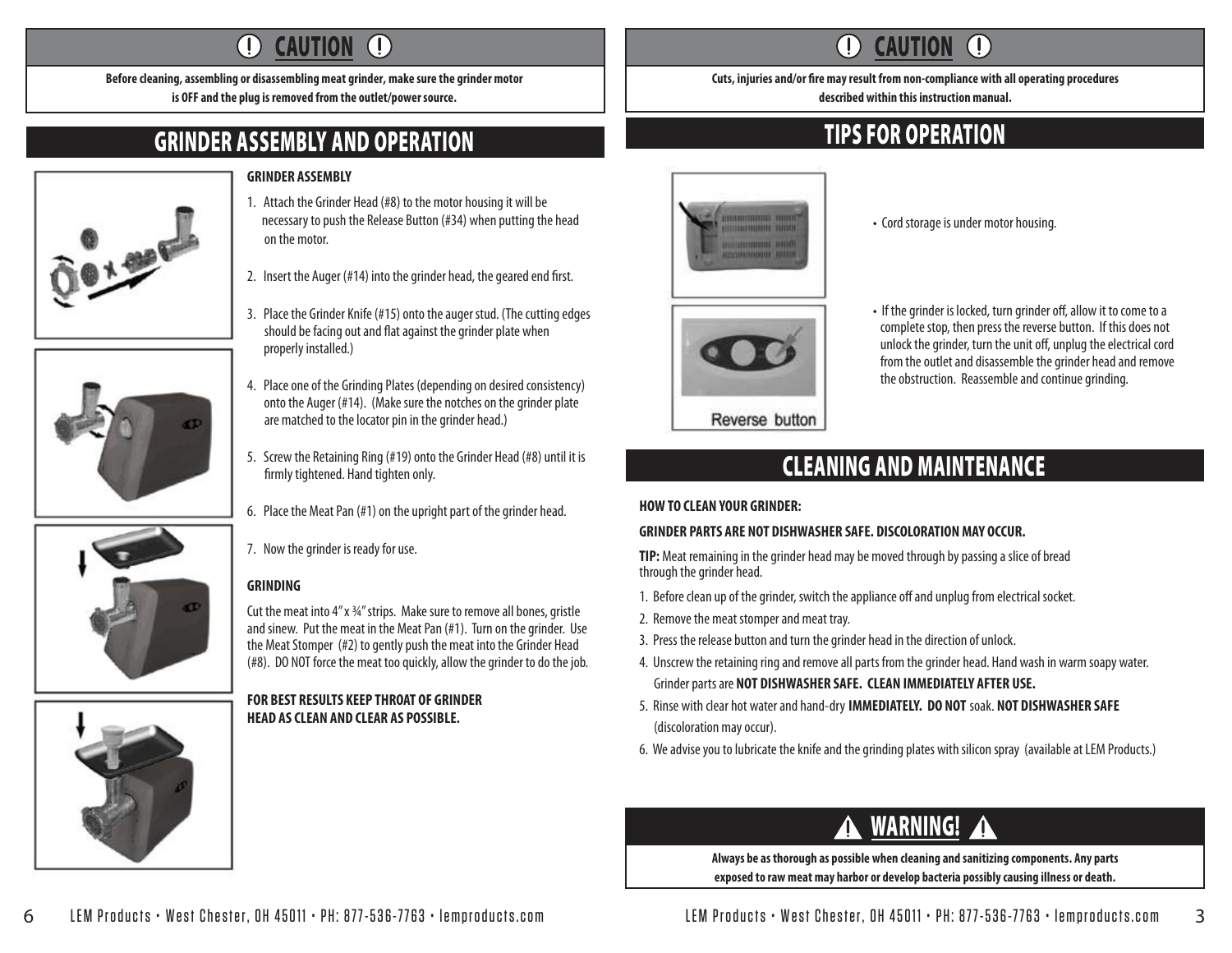#### $\left( \mathbf{l}\right)$  $\left( \mathrm{I}\right)$ **CAUTION**

**Before cleaning, assembling or disassembling meat grinder, make sure the grinder motor is OFF and the plug is removed from the outlet/power source.**

# GRINDER ASSEMBLY AND OPERATION

### **GRINDER ASSEMBLY**

on the motor.





- should be facing out and flat against the grinder plate when properly installed.) 4. Place one of the Grinding Plates (depending on desired consistency) onto the Auger (#14). (Make sure the notches on the grinder plate
	- 5. Screw the Retaining Ring (#19) onto the Grinder Head (#8) until it is firmly tightened. Hand tighten only.

are matched to the locator pin in the grinder head.)

1. Attach the Grinder Head (#8) to the motor housing it will be necessary to push the Release Button (#34) when putting the head

2. Insert the Auger  $(#14)$  into the grinder head, the geared end first.

3. Place the Grinder Knife (#15) onto the auger stud. (The cutting edges

- 6. Place the Meat Pan (#1) on the upright part of the grinder head.
- 7. Now the grinder is ready for use.

### **GRINDING**

Cut the meat into 4" x ¾" strips. Make sure to remove all bones, gristle and sinew. Put the meat in the Meat Pan (#1). Turn on the grinder. Use the Meat Stomper (#2) to gently push the meat into the Grinder Head (#8). DO NOT force the meat too quickly, allow the grinder to do the job.

### **FOR BEST RESULTS KEEP THROAT OF GRINDER HEAD AS CLEAN AND CLEAR AS POSSIBLE.**

#### **CAUTION**  $\left( \left| {}\right\rangle \right)$

Cuts, injuries and/or fire may result from non-compliance with all operating procedures **described within this instruction manual.**

# TIPS FOR OPERATION



- Cord storage is under motor housing.
- If the grinder is locked, turn grinder off, allow it to come to a complete stop, then press the reverse button. If this does not unlock the grinder, turn the unit off, unplug the electrical cord from the outlet and disassemble the grinder head and remove the obstruction. Reassemble and continue grinding.

## Reverse button

# CLEANING AND MAINTENANCE

### **HOW TO CLEAN YOUR GRINDER:**

### **GRINDER PARTS ARE NOT DISHWASHER SAFE. DISCOLORATION MAY OCCUR.**

**TIP:** Meat remaining in the grinder head may be moved through by passing a slice of bread through the grinder head.

- 1. Before clean up of the grinder, switch the appliance off and unplug from electrical socket.
- 2. Remove the meat stomper and meat tray.
- 3. Press the release button and turn the grinder head in the direction of unlock.
- 4. Unscrew the retaining ring and remove all parts from the grinder head. Hand wash in warm soapy water. Grinder parts are **NOT DISHWASHER SAFE. CLEAN IMMEDIATELY AFTER USE.**
- 5. Rinse with clear hot water and hand-dry **IMMEDIATELY. DO NOT** soak. **NOT DISHWASHER SAFE** (discoloration may occur).
- 6. We advise you to lubricate the knife and the grinding plates with silicon spray (available at LEM Products.)

# WARNING!

**Always be as thorough as possible when cleaning and sanitizing components. Any parts exposed to raw meat may harbor or develop bacteria possibly causing illness or death.**